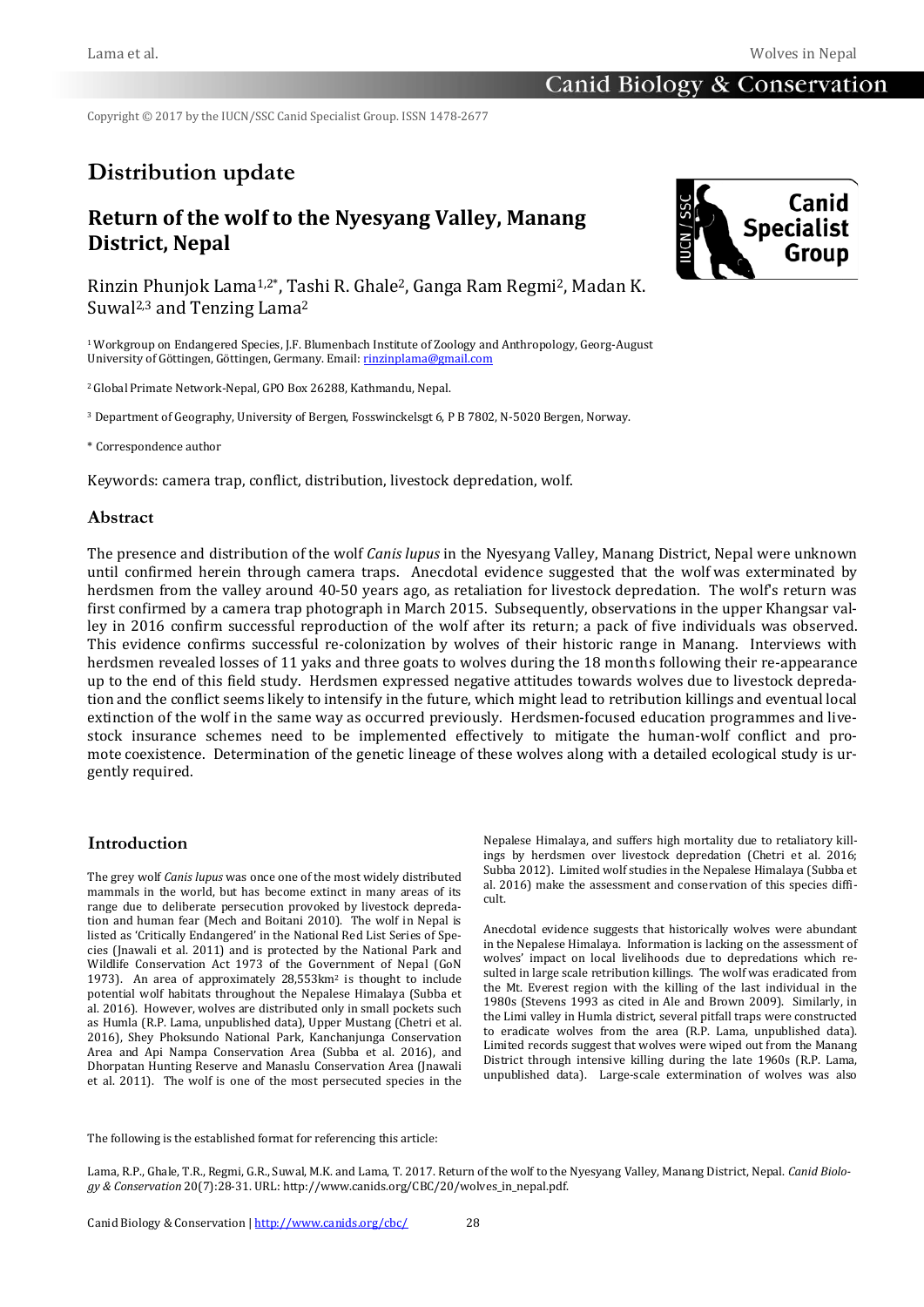Copyright © 2017 by the IUCN/SSC Canid Specialist Group. ISSN 1478-2677

# **Distribution update**

## **Return of the wolf to the Nyesyang Valley, Manang District, Nepal**

Rinzin Phunjok Lama1,2\*, Tashi R. Ghale2, Ganga Ram Regmi2, Madan K. Suwal2,3 and Tenzing Lama2

1 Workgroup on Endangered Species, J.F. Blumenbach Institute of Zoology and Anthropology, Georg-August University of Göttingen, Göttingen, Germany. Email[: rinzinplama@gmail.com](http://rinzinplama@gmail.com/)

2 Global Primate Network-Nepal, GPO Box 26288, Kathmandu, Nepal.

<sup>3</sup> Department of Geography, University of Bergen, Fosswinckelsgt 6, P B 7802, N-5020 Bergen, Norway.

\* Correspondence author

Keywords: camera trap, conflict, distribution, livestock depredation, wolf.

#### **Abstract**

The presence and distribution of the wolf *Canis lupus* in the Nyesyang Valley, Manang District, Nepal were unknown until confirmed herein through camera traps. Anecdotal evidence suggested that the wolf was exterminated by herdsmen from the valley around 40-50 years ago, as retaliation for livestock depredation. The wolf's return was first confirmed by a camera trap photograph in March 2015. Subsequently, observations in the upper Khangsar valley in 2016 confirm successful reproduction of the wolf after its return; a pack of five individuals was observed. This evidence confirms successful re-colonization by wolves of their historic range in Manang. Interviews with herdsmen revealed losses of 11 yaks and three goats to wolves during the 18 months following their re-appearance up to the end of this field study. Herdsmen expressed negative attitudes towards wolves due to livestock depredation and the conflict seems likely to intensify in the future, which might lead to retribution killings and eventual local extinction of the wolf in the same way as occurred previously. Herdsmen-focused education programmes and livestock insurance schemes need to be implemented effectively to mitigate the human-wolf conflict and promote coexistence. Determination of the genetic lineage of these wolves along with a detailed ecological study is urgently required.

### **Introduction**

The grey wolf *Canis lupus* was once one of the most widely distributed mammals in the world, but has become extinct in many areas of its range due to deliberate persecution provoked by livestock depredation and human fear (Mech and Boitani 2010). The wolf in Nepal is listed as 'Critically Endangered' in the National Red List Series of Species (Jnawali et al. 2011) and is protected by the National Park and Wildlife Conservation Act 1973 of the Government of Nepal (GoN 1973). An area of approximately 28,553km2 is thought to include potential wolf habitats throughout the Nepalese Himalaya (Subba et al. 2016). However, wolves are distributed only in small pockets such as Humla (R.P. Lama, unpublished data), Upper Mustang (Chetri et al. 2016), Shey Phoksundo National Park, Kanchanjunga Conservation Area and Api Nampa Conservation Area (Subba et al. 2016), and Dhorpatan Hunting Reserve and Manaslu Conservation Area (Jnawali et al. 2011). The wolf is one of the most persecuted species in the Nepalese Himalaya, and suffers high mortality due to retaliatory killings by herdsmen over livestock depredation (Chetri et al. 2016; Subba 2012). Limited wolf studies in the Nepalese Himalaya (Subba et al. 2016) make the assessment and conservation of this species difficult.

Anecdotal evidence suggests that historically wolves were abundant in the Nepalese Himalaya. Information is lacking on the assessment of wolves' impact on local livelihoods due to depredations which resulted in large scale retribution killings. The wolf was eradicated from the Mt. Everest region with the killing of the last individual in the 1980s (Stevens 1993 as cited in Ale and Brown 2009). Similarly, in the Limi valley in Humla district, several pitfall traps were constructed to eradicate wolves from the area (R.P. Lama, unpublished data). Limited records suggest that wolves were wiped out from the Manang District through intensive killing during the late 1960s (R.P. Lama, unpublished data). Large-scale extermination of wolves was also

The following is the established format for referencing this article:

Lama, R.P., Ghale, T.R., Regmi, G.R., Suwal, M.K. and Lama, T. 2017. Return of the wolf to the Nyesyang Valley, Manang District, Nepal. *Canid Biology & Conservation* 20(7):28-31. URL: http://www.canids.org/CBC/20/wolves\_in\_nepal.pdf.

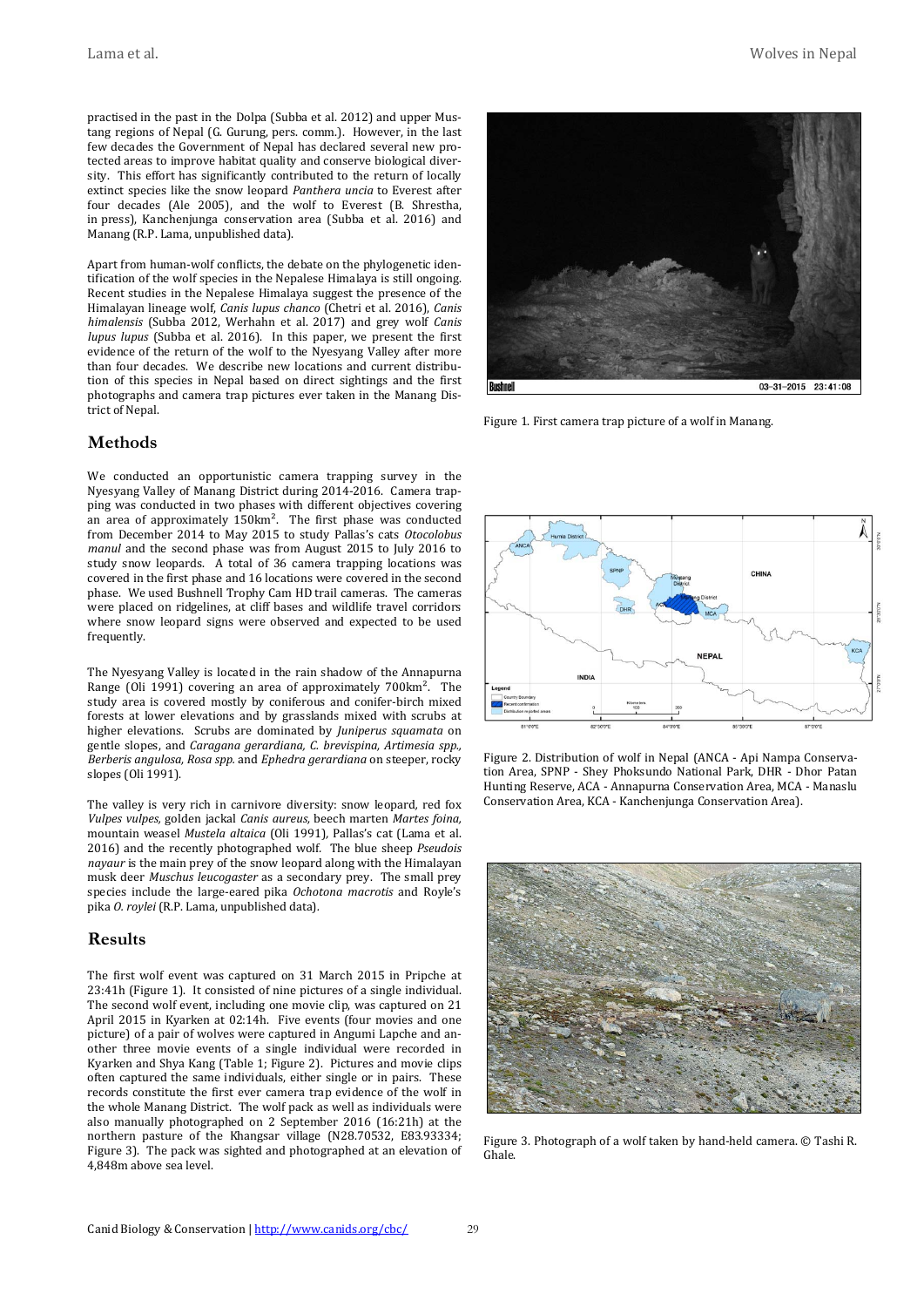Lama et al. Wolves in Nepal

practised in the past in the Dolpa (Subba et al. 2012) and upper Mustang regions of Nepal (G. Gurung, pers. comm.). However, in the last few decades the Government of Nepal has declared several new protected areas to improve habitat quality and conserve biological diversity. This effort has significantly contributed to the return of locally extinct species like the snow leopard *Panthera uncia* to Everest after four decades (Ale 2005), and the wolf to Everest (B. Shrestha, in press), Kanchenjunga conservation area (Subba et al. 2016) and Manang (R.P. Lama, unpublished data).

Apart from human-wolf conflicts, the debate on the phylogenetic identification of the wolf species in the Nepalese Himalaya is still ongoing. Recent studies in the Nepalese Himalaya suggest the presence of the Himalayan lineage wolf, *Canis lupus chanco* (Chetri et al. 2016), *Canis himalensis* (Subba 2012, Werhahn et al. 2017) and grey wolf *Canis lupus lupus* (Subba et al. 2016). In this paper, we present the first evidence of the return of the wolf to the Nyesyang Valley after more than four decades. We describe new locations and current distribution of this species in Nepal based on direct sightings and the first photographs and camera trap pictures ever taken in the Manang District of Nepal.

#### **Methods**

We conducted an opportunistic camera trapping survey in the Nyesyang Valley of Manang District during 2014-2016. Camera trapping was conducted in two phases with different objectives covering an area of approximately 150km<sup>2</sup>. The first phase was conducted from December 2014 to May 2015 to study Pallas's cats *Otocolobus manul* and the second phase was from August 2015 to July 2016 to study snow leopards. A total of 36 camera trapping locations was covered in the first phase and 16 locations were covered in the second phase. We used Bushnell Trophy Cam HD trail cameras. The cameras were placed on ridgelines, at cliff bases and wildlife travel corridors where snow leopard signs were observed and expected to be used frequently.

The Nyesyang Valley is located in the rain shadow of the Annapurna Range (Oli 1991) covering an area of approximately 700km². The study area is covered mostly by coniferous and conifer-birch mixed forests at lower elevations and by grasslands mixed with scrubs at higher elevations. Scrubs are dominated by *Juniperus squamata* on gentle slopes, and *Caragana gerardiana, C. brevispina, Artimesia spp., Berberis angulosa, Rosa spp.* and *Ephedra gerardiana* on steeper, rocky slopes (Oli 1991).

The valley is very rich in carnivore diversity: snow leopard*,* red fox *Vulpes vulpes,* golden jackal *Canis aureus,* beech marten *Martes foina,*  mountain weasel *Mustela altaica* (Oli 1991)*,* Pallas's cat (Lama et al. 2016) and the recently photographed wolf*.* The blue sheep *Pseudois nayaur* is the main prey of the snow leopard along with the Himalayan musk deer *Muschus leucogaster* as a secondary prey. The small prey species include the large-eared pika *Ochotona macrotis* and Royle's pika *O. roylei* (R.P. Lama, unpublished data)*.*

#### **Results**

The first wolf event was captured on 31 March 2015 in Pripche at 23:41h (Figure 1). It consisted of nine pictures of a single individual. The second wolf event, including one movie clip, was captured on 21 April 2015 in Kyarken at 02:14h. Five events (four movies and one picture) of a pair of wolves were captured in Angumi Lapche and another three movie events of a single individual were recorded in Kyarken and Shya Kang (Table 1; Figure 2). Pictures and movie clips often captured the same individuals, either single or in pairs. These records constitute the first ever camera trap evidence of the wolf in the whole Manang District. The wolf pack as well as individuals were also manually photographed on 2 September 2016 (16:21h) at the northern pasture of the Khangsar village (N28.70532, E83.93334; Figure 3). The pack was sighted and photographed at an elevation of 4,848m above sea level.



Figure 1. First camera trap picture of a wolf in Manang.



Figure 2. Distribution of wolf in Nepal (ANCA - Api Nampa Conservation Area, SPNP - Shey Phoksundo National Park, DHR - Dhor Patan Hunting Reserve, ACA - Annapurna Conservation Area, MCA - Manaslu Conservation Area, KCA - Kanchenjunga Conservation Area).



Figure 3. Photograph of a wolf taken by hand-held camera. © Tashi R. Ghale.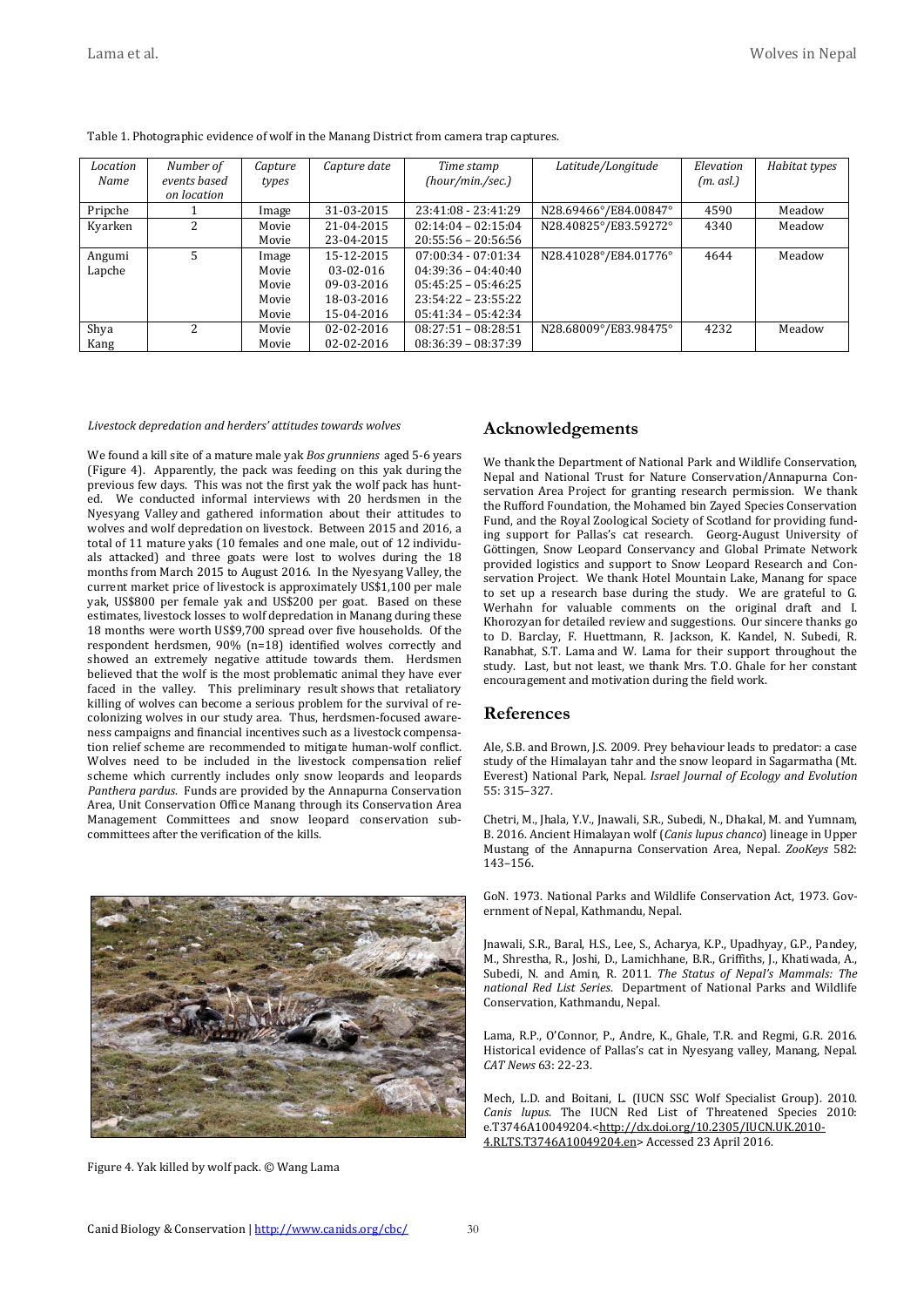| Location<br>Name | Number of<br>events based<br>on location | Capture<br>types | Capture date | Time stamp<br>(hour/min./sec.) | Latitude/Longitude    | Elevation<br>$(m. \, \text{as} l.)$ | Habitat types |
|------------------|------------------------------------------|------------------|--------------|--------------------------------|-----------------------|-------------------------------------|---------------|
| Pripche          |                                          | Image            | 31-03-2015   | 23:41:08 - 23:41:29            | N28.69466°/E84.00847° | 4590                                | Meadow        |
| Kyarken          | $\overline{a}$                           | Movie            | 21-04-2015   | $02:14:04 - 02:15:04$          | N28.40825°/E83.59272° | 4340                                | Meadow        |
|                  |                                          | Movie            | 23-04-2015   | $20:55:56 - 20:56:56$          |                       |                                     |               |
| Angumi           | 5.                                       | Image            | 15-12-2015   | $07:00:34 - 07:01:34$          | N28.41028°/E84.01776° | 4644                                | Meadow        |
| Lapche           |                                          | Movie            | $03-02-016$  | $04:39:36 - 04:40:40$          |                       |                                     |               |
|                  |                                          | Movie            | 09-03-2016   | $05:45:25 - 05:46:25$          |                       |                                     |               |
|                  |                                          | Movie            | 18-03-2016   | $23:54:22 - 23:55:22$          |                       |                                     |               |
|                  |                                          | Movie            | 15-04-2016   | $05:41:34 - 05:42:34$          |                       |                                     |               |
| Shya             | 2                                        | Movie            | 02-02-2016   | $08:27:51 - 08:28:51$          | N28.68009°/E83.98475° | 4232                                | Meadow        |
| Kang             |                                          | Movie            | 02-02-2016   | $08:36:39 - 08:37:39$          |                       |                                     |               |

Table 1. Photographic evidence of wolf in the Manang District from camera trap captures.

#### *Livestock depredation and herders' attitudes towards wolves*

We found a kill site of a mature male yak *Bos grunniens* aged 5-6 years (Figure 4). Apparently, the pack was feeding on this yak during the previous few days. This was not the first yak the wolf pack has hunted. We conducted informal interviews with 20 herdsmen in the Nyesyang Valley and gathered information about their attitudes to wolves and wolf depredation on livestock. Between 2015 and 2016, a total of 11 mature yaks (10 females and one male, out of 12 individuals attacked) and three goats were lost to wolves during the 18 months from March 2015 to August 2016. In the Nyesyang Valley, the current market price of livestock is approximately US\$1,100 per male yak, US\$800 per female yak and US\$200 per goat. Based on these estimates, livestock losses to wolf depredation in Manang during these 18 months were worth US\$9,700 spread over five households. Of the respondent herdsmen, 90% (n=18) identified wolves correctly and showed an extremely negative attitude towards them. Herdsmen believed that the wolf is the most problematic animal they have ever faced in the valley. This preliminary result shows that retaliatory killing of wolves can become a serious problem for the survival of recolonizing wolves in our study area. Thus, herdsmen-focused awareness campaigns and financial incentives such as a livestock compensation relief scheme are recommended to mitigate human-wolf conflict. Wolves need to be included in the livestock compensation relief scheme which currently includes only snow leopards and leopards *Panthera pardus*. Funds are provided by the Annapurna Conservation Area, Unit Conservation Office Manang through its Conservation Area Management Committees and snow leopard conservation subcommittees after the verification of the kills.



Figure 4. Yak killed by wolf pack. © Wang Lama

#### **Acknowledgements**

We thank the Department of National Park and Wildlife Conservation, Nepal and National Trust for Nature Conservation/Annapurna Conservation Area Project for granting research permission. We thank the Rufford Foundation, the Mohamed bin Zayed Species Conservation Fund, and the Royal Zoological Society of Scotland for providing funding support for Pallas's cat research. Georg-August University of Göttingen, Snow Leopard Conservancy and Global Primate Network provided logistics and support to Snow Leopard Research and Conservation Project. We thank Hotel Mountain Lake, Manang for space to set up a research base during the study. We are grateful to G. Werhahn for valuable comments on the original draft and I. Khorozyan for detailed review and suggestions. Our sincere thanks go to D. Barclay, F. Huettmann, R. Jackson, K. Kandel, N. Subedi, R. Ranabhat, S.T. Lama and W. Lama for their support throughout the study. Last, but not least, we thank Mrs. T.O. Ghale for her constant encouragement and motivation during the field work.

#### **References**

Ale, S.B. and Brown, J.S. 2009. Prey behaviour leads to predator: a case study of the Himalayan tahr and the snow leopard in Sagarmatha (Mt. Everest) National Park, Nepal*. Israel Journal of Ecology and Evolution* 55: 315–327.

Chetri, M., Jhala, Y.V., Jnawali, S.R., Subedi, N., Dhakal, M. and Yumnam, B. 2016. Ancient Himalayan wolf (*Canis lupus chanco*) lineage in Upper Mustang of the Annapurna Conservation Area, Nepal. *ZooKeys* 582: 143–156.

GoN. 1973. National Parks and Wildlife Conservation Act, 1973. Government of Nepal, Kathmandu, Nepal.

Jnawali, S.R., Baral, H.S., Lee, S., Acharya, K.P., Upadhyay, G.P., Pandey, M., Shrestha, R., Joshi, D., Lamichhane, B.R., Griffiths, J., Khatiwada, A., Subedi, N. and Amin, R. 2011. *The Status of Nepal's Mammals: The national Red List Series*. Department of National Parks and Wildlife Conservation, Kathmandu, Nepal.

Lama, R.P., O'Connor, P., Andre, K., Ghale, T.R. and Regmi, G.R. 2016. Historical evidence of Pallas's cat in Nyesyang valley, Manang, Nepal. *CAT News* 63: 22-23.

Mech, L.D. and Boitani, L. (IUCN SSC Wolf Specialist Group). 2010. *Canis lupus*. The IUCN Red List of Threatened Species 2010: e.T3746A10049204.[<http://dx.doi.org/10.2305/IUCN.UK.2010-](http://dx.doi.org/10.2305/IUCN.UK.2010-4.RLTS.T3746A10049204.en) [4.RLTS.T3746A10049204.en>](http://dx.doi.org/10.2305/IUCN.UK.2010-4.RLTS.T3746A10049204.en) Accessed 23 April 2016.